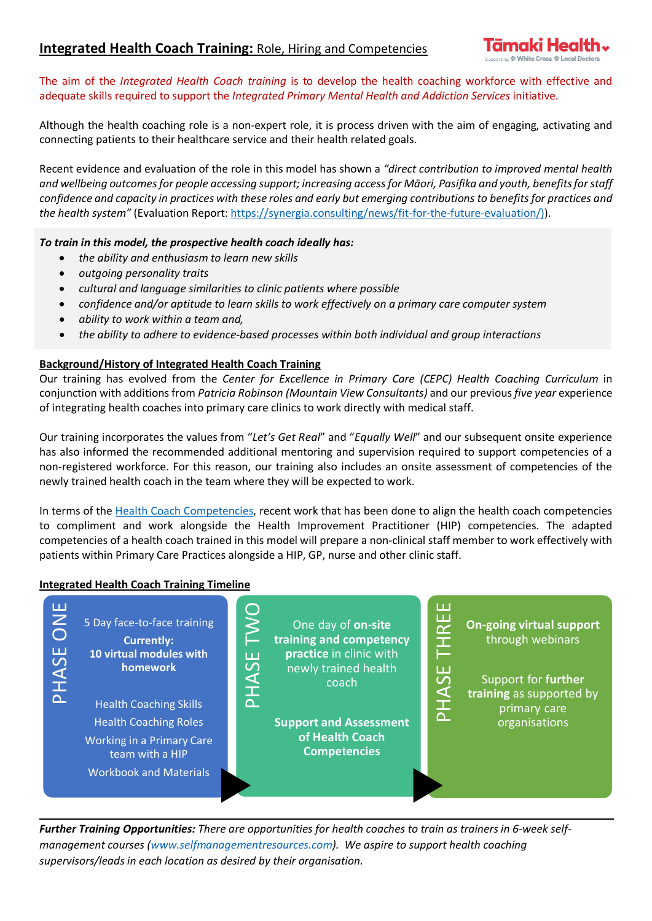The aim of the *Integrated Health Coach training* is to develop the health coaching workforce with effective and adequate skills required to support the *Integrated Primary Mental Health and Addiction Services* initiative.

Although the health coaching role is a non-expert role, it is process driven with the aim of engaging, activating and connecting patients to their healthcare service and their health related goals.

Recent evidence and evaluation of the role in this model has shown a *"direct contribution to improved mental health and wellbeing outcomes for people accessing support; increasing access for Māori, Pasifika and youth, benefits for staff confidence and capacity in practices with these roles and early but emerging contributions to benefits for practices and the health system"* (Evaluation Report: [https://synergia.consulting/news/fit-for-the-future-evaluation/\)\)](https://synergia.consulting/news/fit-for-the-future-evaluation/)).

## *To train in this model, the prospective health coach ideally has:*

- *the ability and enthusiasm to learn new skills*
- *outgoing personality traits*
- *cultural and language similarities to clinic patients where possible*
- *confidence and/or aptitude to learn skills to work effectively on a primary care computer system*
- *ability to work within a team and,*
- *the ability to adhere to evidence-based processes within both individual and group interactions*

# **Background/History of Integrated Health Coach Training**

Our training has evolved from the *Center for Excellence in Primary Care (CEPC) Health Coaching Curriculum* in conjunction with additions from *Patricia Robinson (Mountain View Consultants)* and our previous *five year* experience of integrating health coaches into primary care clinics to work directly with medical staff.

Our training incorporates the values from "*Let's Get Real*" and "*Equally Well*" and our subsequent onsite experience has also informed the recommended additional mentoring and supervision required to support competencies of a non-registered workforce. For this reason, our training also includes an onsite assessment of competencies of the newly trained health coach in the team where they will be expected to work.

In terms of the Health [Coach Competencies,](https://www.tepou.co.nz/uploads/files/Tamaki%20Health%20Health%20Coach%20Competencies%202020.pdf) recent work that has been done to align the health coach competencies to compliment and work alongside the Health Improvement Practitioner (HIP) competencies. The adapted competencies of a health coach trained in this model will prepare a non-clinical staff member to work effectively with patients within Primary Care Practices alongside a HIP, GP, nurse and other clinic staff.

## **Integrated Health Coach Training Timeline**



*Further Training Opportunities: There are opportunities for health coaches to train as trainers in 6-week selfmanagement courses [\(www.selfmanagementresources.com\)](http://www.selfmanagementresources.com/). We aspire to support health coaching*